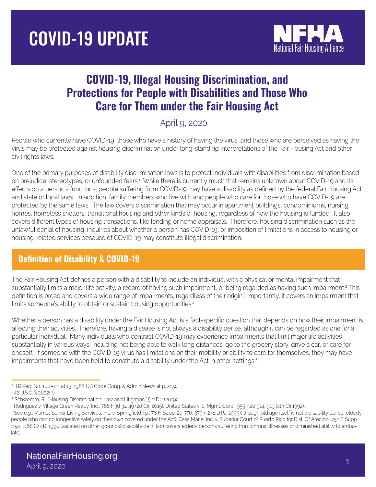# COVID-19 UPDATE



# COVID-19, Illegal Housing Discrimination, and Protections for People with Disabilities and Those Who Care for Them under the Fair Housing Act

#### April 9, 2020

People who currently have COVID-19, those who have a history of having the virus, and those who are perceived as having the virus may be protected against housing discrimination under long-standing interpretations of the Fair Housing Act and other civil rights laws.

One of the primary purposes of disability discrimination laws is to protect individuals with disabilities from discrimination based on prejudice, stereotypes, or unfounded fears.1 While there is currently much that remains unknown about COVID-19 and its effects on a person's functions, people suffering from COVID-19 may have a disability as defined by the federal Fair Housing Act and state or local laws. In addition, family members who live with and people who care for those who have COVID-19 are protected by the same laws. The law covers discrimination that may occur in apartment buildings, condominiums, nursing homes, homeless shelters, transitional housing and other kinds of housing, regardless of how the housing is funded. It also covers different types of housing transactions, like lending or home appraisals. Therefore, housing discrimination such as the unlawful denial of housing, inquiries about whether a person has COVID-19, or imposition of limitations in access to housing or housing-related services because of COVID-19 may constitute illegal discrimination.

## Definition of Disability & COVID-19

The Fair Housing Act defines a person with a disability to include an individual with a physical or mental impairment that substantially limits a major life activity, a record of having such impairment, or being regarded as having such impairment.<sup>2</sup> This definition is broad and covers a wide range of impairments, regardless of their origin.<sup>3</sup> Importantly, it covers an impairment that limits someone's ability to obtain or sustain housing opportunities.<sup>4</sup>

Whether a person has a disability under the Fair Housing Act is a fact-specific question that depends on how their impairment is affecting their activities. Therefore, having a disease is not always a disability per se, although it can be regarded as one for a particular individual. Many individuals who contract COVID-19 may experience impairments that limit major life activities substantially in various ways, including not being able to walk long distances, go to the grocery story, drive a car, or care for oneself. If someone with the COVID-19 virus has limitations on their mobility or ability to care for themselves, they may have impairments that have been held to constitute a disability under the Act in other settings.<sup>5</sup>

 <sup>1</sup> H.R.Rep. No. 100–711 at 13, 1988 U.S.Code Cong. & Admin.News at p. 2174.

 <sup>2 42</sup> U.S.C. § 3602(h).

 <sup>3</sup> Schwemm, R., "Housing Discrimination: Law and Litigation," § 11D:2 (2019).

 <sup>4</sup> Rodriguez v. Village Green Realty, Inc., 788 F.3d 31, 49 (2d Cir. 2015); United States v. S. Mgmt. Corp., 955 F.2d 914, 919 (4th Cir.1992).

<sup>5</sup>See e.g., Marriot Senior Living Services, Inc. v. Springfield Tp., 78 F. Supp. 2d 376, 379 n.2 (E.D.Pa. 1999)(though old age itself is not a disability per se, elderly people who can no longer live safely on their own covered under the Act); Casa Marie, Inc. v. Superior Court of Puerto Rico for Dist. Of Arecibo, 752 F. Supp. 1152, 1168 (D.P.R. 1990)(vacated on other grounds)(disability definition covers elderly persons suffering from chronic illnesses or diminished ability to ambulate).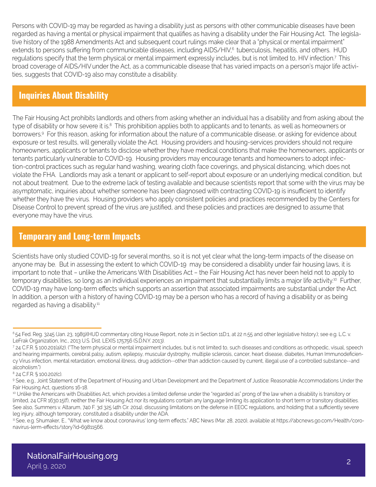Persons with COVID-19 may be regarded as having a disability just as persons with other communicable diseases have been regarded as having a mental or physical impairment that qualifies as having a disability under the Fair Housing Act. The legislative history of the 1988 Amendments Act and subsequent court rulings make clear that a "physical or mental impairment" extends to persons suffering from communicable diseases, including AIDS/HIV,<sup>6</sup> tuberculosis, hepatitis, and others. HUD regulations specify that the term physical or mental impairment expressly includes, but is not limited to, HIV infection.<sup>7</sup>This broad coverage of AIDS/HIVunder the Act, as a communicable disease that has varied impacts on a person's major life activities, suggests that COVID-19 also may constitute a disability.

#### Inquiries About Disability

The Fair Housing Act prohibits landlords and others from asking whether an individual has a disability and from asking about the type of disability or how severe it is.<sup>8</sup> This prohibition applies both to applicants and to tenants, as well as homeowners or borrowers.<sup>9</sup> For this reason, asking for information about the nature of a communicable disease, or asking for evidence about exposure or test results, will generally violate the Act. Housing providers and housing-services providers should not require homeowners, applicants or tenants to disclose whether they have medical conditions that make the homeowners, applicants or tenants particularly vulnerable to COVID-19. Housing providers may encourage tenants and homeowners to adopt infection-control practices such as regular hand washing, wearing cloth face coverings, and physical distancing, which does not violate the FHA. Landlords may ask a tenant or applicant to self-report about exposure or an underlying medical condition, but not about treatment. Due to the extreme lack of testing available and because scientists report that some with the virus may be asymptomatic, inquiries about whether someone has been diagnosed with contracting COVID-19 is insufficient to identify whether they have the virus. Housing providers who apply consistent policies and practices recommended by the Centers for Disease Control to prevent spread of the virus are justified, and these policies and practices are designed to assume that everyone may have the virus.

#### Temporary and Long-term Impacts

Scientists have only studied COVID-19 for several months, so it is not yet clear what the long-term impacts of the disease on anyone may be. But in assessing the extent to which COVID-19 may be considered a disability under fair housing laws, it is important to note that – unlike the Americans With Disabilities Act – the Fair Housing Act has never been held not to apply to temporary disabilities, so long as an individual experiences an impairment that substantially limits a major life activity.<sup>10</sup> Further, COVID-19 may have long-term effects which supports an assertion that associated impairments are substantial under the Act. In addition, a person with a history of having COVID-19 may be a person who has a record of having a disability or as being regarded as having a disability.<sup>11</sup>

<sup>&</sup>lt;sup>6</sup> 54 Fed. Reg. 3245 (Jan. 23, 1989)(HUD commentary citing House Report, note 21 in Section 11D:1, at 22 n.55 and other legislative history.); see e.g. L.C. v. LeFrak Organization, Inc., 2013 U.S. Dist. LEXIS 175756 (S.D.N.Y. 2013).

<sup>7</sup> 24 C.F.R. § 100.201(a)(2). ("The term physical or mental impairment includes, but is not limited to, such diseases and conditions as orthopedic, visual, speech and hearing impairments, cerebral palsy, autism, epilepsy, muscular dystrophy, multiple sclerosis, cancer, heart disease, diabetes, Human Immunodeficiency Virus infection, mental retardation, emotional illness, drug addiction--other than addiction caused by current, illegal use of a controlled substance--and alcoholism.")

<sup>8 24</sup> C.F.R. § 100.202(c).

<sup>9</sup> See, e.g., Joint Statement of the Department of Housing and Urban Development and the Department of Justice: Reasonable Accommodations Under the Fair Housing Act, questions 16-18.

<sup>&</sup>lt;sup>10</sup> Unlike the Americans with Disabilities Act, which provides a limited defense under the "regarded as" prong of the law when a disability is transitory or limited, 24 CFR 1630.15(f), neither the Fair Housing Act nor its regulations contain any language limiting its application to short term or transitory disabilities. See also, Summers v. Altarum, 740 F. 3d 325 (4th Cir. 2014), discussing limitations on the defense in EEOC regulations, and holding that a sufficiently severe leg injury, although temporary, constituted a disability under the ADA.

<sup>11</sup> See, e.g. Shumaker, E., "What we know about coronavirus' long-term effects," ABC News (Mar. 28, 2020), available at https://abcnews.go.com/Health/coronavirus-lerm-effects/story?id=69811566.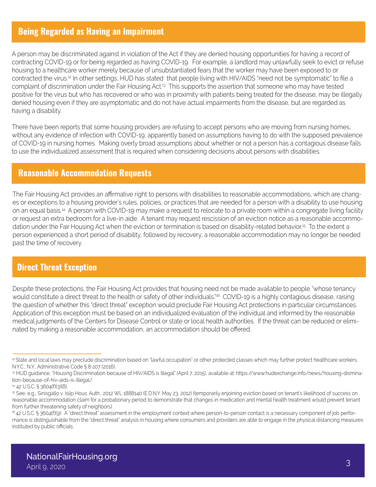#### Being Regarded as Having an Impairment

A person may be discriminated against in violation of the Act if they are denied housing opportunities for having a record of contracting COVID-19 or for being regarded as having COVID-19. For example, a landlord may unlawfully seek to evict or refuse housing to a healthcare worker merely because of unsubstantiated fears that the worker may have been exposed to or contracted the virus.12 In other settings, HUD has stated that people living with HIV/AIDS "need not be symptomatic" to file a complaint of discrimination under the Fair Housing Act.<sup>13</sup> This supports the assertion that someone who may have tested positive for the virus but who has recovered or who was in proximity with patients being treated for the disease, may be illegally denied housing even if they are asymptomatic and do not have actual impairments from the disease, but are regarded as having a disability.

There have been reports that some housing providers are refusing to accept persons who are moving from nursing homes, without any evidence of infection with COVID-19, apparently based on assumptions having to do with the supposed prevalence of COVID-19 in nursing homes. Making overly broad assumptions about whether or not a person has a contagious disease fails to use the individualized assessment that is required when considering decisions about persons with disabilities.

#### Reasonable Accommodation Requests

The Fair Housing Act provides an affirmative right to persons with disabilities to reasonable accommodations, which are changes or exceptions to a housing provider's rules, policies, or practices that are needed for a person with a disability to use housing on an equal basis.<sup>14</sup> A person with COVID-19 may make a request to relocate to a private room within a congregate living facility or request an extra bedroom for a live-in aide. A tenant may request rescission of an eviction notice as a reasonable accommodation under the Fair Housing Act when the eviction or termination is based on disability-related behavior.<sup>15</sup> To the extent a person experienced a short period of disability, followed by recovery, a reasonable accommodation may no longer be needed past the time of recovery.

#### Direct Threat Exception

Despite these protections, the Fair Housing Act provides that housing need not be made available to people "whose tenancy would constitute a direct threat to the health or safety of other individuals."<sup>16</sup> COVID-19 is a highly contagious disease, raising the question of whether this "direct threat" exception would preclude Fair Housing Act protections in particular circumstances. Application of this exception must be based on an individualized evaluation of the individual and informed by the reasonable medical judgments of the Centers for Disease Control or state or local health authorities. If the threat can be reduced or eliminated by making a reasonable accommodation, an accommodation should be offered.

<sup>&</sup>lt;sup>12</sup> State and local laws may preclude discrimination based on "lawful occupation" or other protected classes which may further protect healthcare workers. N.Y.C., N.Y., Administrative Code § 8-107 (2016).

<sup>13</sup> HUD guidance, "Housing Discrimination because of HIV/AIDS is Illegal" (April 7, 2015), available at: https://www.hudexchange.info/news/housing-dismination-because-of-hiv-aids-is-illegal/.

<sup>14</sup> 42 U.S.C. § 3604(f)(3)(B).

<sup>15</sup> See, e.g., Sinisgallo v. Islip Hous. Auth., 2012 WL 1888140 (E.D.N.Y. May 23, 2012) (temporarily enjoining eviction based on tenant's likelihood of success on reasonable accommodation claim for a probationary period to demonstrate that changes in medication and mental health treatment would prevent tenant from further threatening safety of neighbors).

<sup>16 42</sup> U.S.C. § 3604(f)(9). A "direct threat" assessment in the employment context where person-to-person contact is a necessary component of job performance is distinguishable from the "direct threat" analysis in housing where consumers and providers are able to engage in the physical distancing measures instituted by public officials.